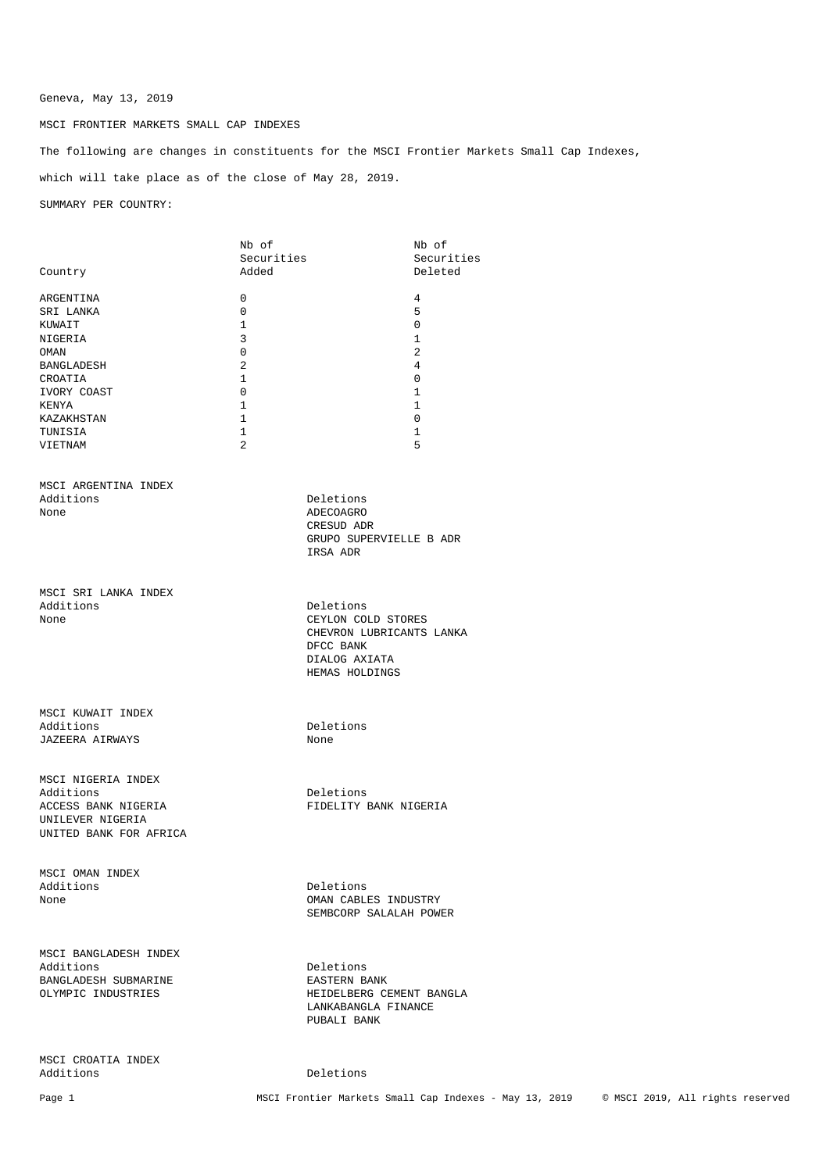# Geneva, May 13, 2019

### MSCI FRONTIER MARKETS SMALL CAP INDEXES

The following are changes in constituents for the MSCI Frontier Markets Small Cap Indexes, which will take place as of the close of May 28, 2019.

SUMMARY PER COUNTRY:

| Country                | Nb of<br>Securities<br>Added |                                 | Nb of<br>Securities<br>Deleted |
|------------------------|------------------------------|---------------------------------|--------------------------------|
|                        | 0                            |                                 | 4                              |
| ARGENTINA<br>SRI LANKA | $\mathbf 0$                  |                                 | 5                              |
| KUWAIT                 | $\mathbf{1}$                 |                                 | $\mathbf 0$                    |
| NIGERIA                | 3                            |                                 | $\mathbf{1}$                   |
| OMAN                   | 0                            |                                 | 2                              |
| BANGLADESH             | 2                            |                                 | 4                              |
| CROATIA                | 1                            |                                 | $\mathbf 0$                    |
| IVORY COAST            | 0                            |                                 | 1                              |
| KENYA                  | $\mathbf{1}$                 |                                 | 1                              |
| KAZAKHSTAN             | $\mathbf{1}$                 |                                 | $\mathbf 0$                    |
| TUNISIA                | $\mathbf{1}$                 |                                 | $\mathbf{1}$                   |
| VIETNAM                | 2                            |                                 | 5                              |
| MSCI ARGENTINA INDEX   |                              |                                 |                                |
| Additions              |                              | Deletions                       |                                |
| None                   |                              | ADECOAGRO                       |                                |
|                        |                              | CRESUD ADR                      |                                |
|                        |                              | GRUPO SUPERVIELLE B ADR         |                                |
|                        |                              | IRSA ADR                        |                                |
| MSCI SRI LANKA INDEX   |                              |                                 |                                |
| Additions              |                              | Deletions                       |                                |
| None                   |                              | CEYLON COLD STORES              |                                |
|                        |                              | CHEVRON LUBRICANTS LANKA        |                                |
|                        |                              | DFCC BANK                       |                                |
|                        |                              | DIALOG AXIATA<br>HEMAS HOLDINGS |                                |
|                        |                              |                                 |                                |
| MSCI KUWAIT INDEX      |                              |                                 |                                |
| Additions              |                              | Deletions                       |                                |
| JAZEERA AIRWAYS        |                              | None                            |                                |
| MSCI NIGERIA INDEX     |                              |                                 |                                |
| Additions              |                              | Deletions                       |                                |
| ACCESS BANK NIGERIA    |                              | FIDELITY BANK NIGERIA           |                                |
| UNILEVER NIGERIA       |                              |                                 |                                |
| UNITED BANK FOR AFRICA |                              |                                 |                                |
| MSCI OMAN INDEX        |                              |                                 |                                |
| Additions              |                              | Deletions                       |                                |
| None                   |                              | OMAN CABLES INDUSTRY            |                                |
|                        |                              | SEMBCORP SALALAH POWER          |                                |
| MSCI BANGLADESH INDEX  |                              |                                 |                                |
| Additions              |                              | Deletions                       |                                |
| BANGLADESH SUBMARINE   |                              | EASTERN BANK                    |                                |
| OLYMPIC INDUSTRIES     |                              | HEIDELBERG CEMENT BANGLA        |                                |
|                        |                              | LANKABANGLA FINANCE             |                                |
|                        |                              | PUBALI BANK                     |                                |
| MSCI CROATIA INDEX     |                              |                                 |                                |
| Additions              |                              | Deletions                       |                                |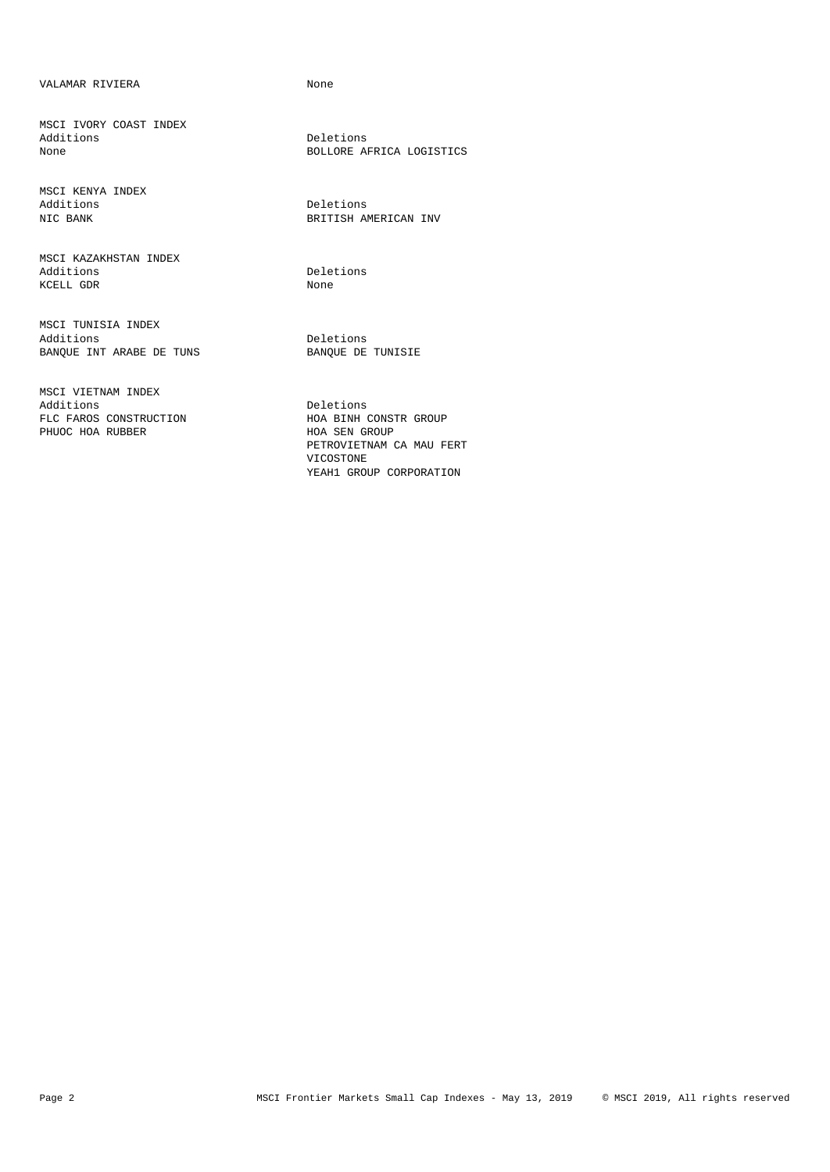## VALAMAR RIVIERA None

MSCI IVORY COAST INDEX

MSCI KENYA INDEX Additions Deletions

MSCI KAZAKHSTAN INDEX Additions Deletions<br>
KCELL GDR<br>
None KCELL GDR

MSCI TUNISIA INDEX Additions<br>
BANQUE INT ARABE DE TUNS<br>
BANQUE DE TUNISIE BANQUE INT ARABE DE TUNS

MSCI VIETNAM INDEX Additions Deletions<br>FLC FAROS CONSTRUCTION THOA BINH PHUOC HOA RUBBER

Deletions None BOLLORE AFRICA LOGISTICS

NIC BANK BRITISH AMERICAN INV

HOA BINH CONSTR GROUP<br>HOA SEN GROUP PETROVIETNAM CA MAU FERT VICOSTONE YEAH1 GROUP CORPORATION